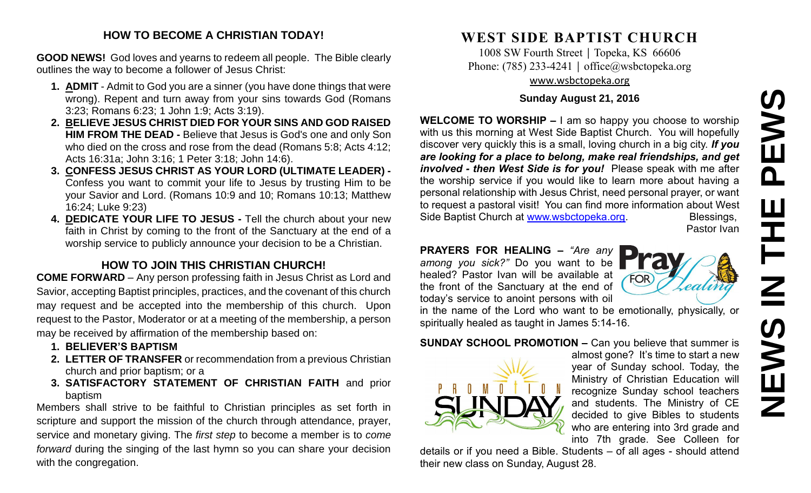# **NEWS IN THE PEWS**EWS  $\overline{\mathbf{a}}$ HH<br>N<br>N NEWS

## **HOW TO BECOME A CHRISTIAN TODAY!**

**GOOD NEWS!** God loves and yearns to redeem all people. The Bible clearly outlines the way to become a follower of Jesus Christ:

- **1. ADMIT** Admit to God you are a sinner (you have done things that were wrong). Repent and turn away from your sins towards God (Romans 3:23; Romans 6:23; 1 John 1:9; Acts 3:19).
- **2. BELIEVE JESUS CHRIST DIED FOR YOUR SINS AND GOD RAISED HIM FROM THE DEAD -** Believe that Jesus is God's one and only Son who died on the cross and rose from the dead (Romans 5:8; Acts 4:12; Acts 16:31a; John 3:16; 1 Peter 3:18; John 14:6).
- **3. CONFESS JESUS CHRIST AS YOUR LORD (ULTIMATE LEADER) -** Confess you want to commit your life to Jesus by trusting Him to be your Savior and Lord. (Romans 10:9 and 10; Romans 10:13; Matthew 16:24; Luke 9:23)
- **4. DEDICATE YOUR LIFE TO JESUS -** Tell the church about your new faith in Christ by coming to the front of the Sanctuary at the end of a worship service to publicly announce your decision to be a Christian.

# **HOW TO JOIN THIS CHRISTIAN CHURCH!**

**COME FORWARD** – Any person professing faith in Jesus Christ as Lord and Savior, accepting Baptist principles, practices, and the covenant of this church may request and be accepted into the membership of this church. Upon request to the Pastor, Moderator or at a meeting of the membership, a person may be received by affirmation of the membership based on:

- **1. BELIEVER'S BAPTISM**
- **2. LETTER OF TRANSFER** or recommendation from a previous Christian church and prior baptism; or a
- **3. SATISFACTORY STATEMENT OF CHRISTIAN FAITH** and prior baptism

Members shall strive to be faithful to Christian principles as set forth in scripture and support the mission of the church through attendance, prayer, service and monetary giving. The *first step* to become a member is to *come forward* during the singing of the last hymn so you can share your decision with the congregation.

# **WEST SIDE BAPTIST CHURCH**

1008 SW Fourth Street | Topeka, KS 66606 Phone: (785) 233-4241 │ [office@wsbctopeka.org](mailto:office@wsbctopeka.org) [www.wsbctopeka.org](http://www.wsbctopeka.org/)

#### **Sunday August 21, 2016**

**WELCOME TO WORSHIP –** I am so happy you choose to worship with us this morning at West Side Baptist Church. You will hopefully discover very quickly this is a small, loving church in a big city. *If you are looking for a place to belong, make real friendships, and get involved - then West Side is for you!* Please speak with me after the worship service if you would like to learn more about having a personal relationship with Jesus Christ, need personal prayer, or want to request a pastoral visit! You can find more information about West Side Baptist Church at [www.wsbctopeka.org.](http://www.wsbctopeka.org/) Blessings,

Pastor Ivan

# **PRAYERS FOR HEALING –** *"Are any among you sick?"* Do you want to be healed? Pastor Ivan will be available at

the front of the Sanctuary at the end of today's service to anoint persons with oil

**FOR** 

in the name of the Lord who want to be emotionally, physically, or spiritually healed as taught in James 5:14-16.

#### **SUNDAY SCHOOL PROMOTION –** Can you believe that summer is



almost gone? It's time to start a new year of Sunday school. Today, the Ministry of Christian Education will recognize Sunday school teachers and students. The Ministry of CE decided to give Bibles to students who are entering into 3rd grade and into 7th grade. See Colleen for

details or if you need a Bible. Students – of all ages - should attend their new class on Sunday, August 28.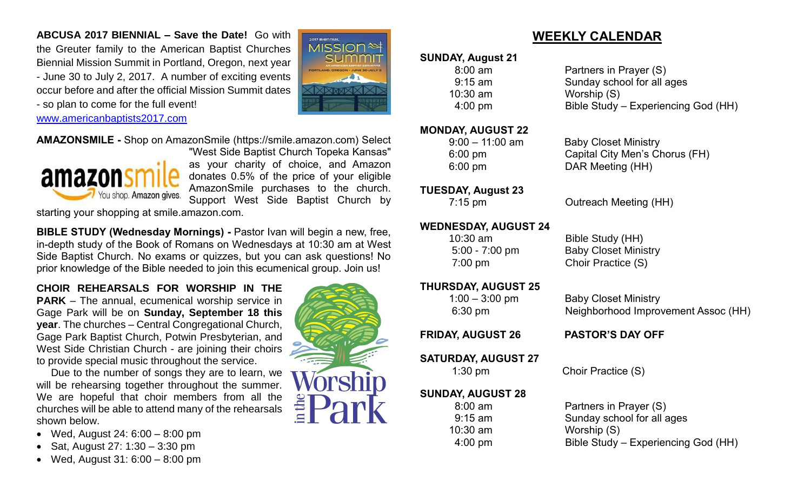**ABCUSA 2017 BIENNIAL – Save the Date!** Go with the Greuter family to the American Baptist Churches Biennial Mission Summit in Portland, Oregon, next year - June 30 to July 2, 2017. A number of exciting events occur before and after the official Mission Summit dates - so plan to come for the full event!



#### [www.americanbaptists2017.com](http://www.americanbaptists2017.com/)

**AMAZONSMILE -** Shop on AmazonSmile (https://smile.amazon.com) Select



"West Side Baptist Church Topeka Kansas" as your charity of choice, and Amazon donates 0.5% of the price of your eligible AmazonSmile purchases to the church. Support West Side Baptist Church by

starting your shopping at smile.amazon.com.

**BIBLE STUDY (Wednesday Mornings) -** Pastor Ivan will begin a new, free, in-depth study of the Book of Romans on Wednesdays at 10:30 am at West Side Baptist Church. No exams or quizzes, but you can ask questions! No prior knowledge of the Bible needed to join this ecumenical group. Join us!

**CHOIR REHEARSALS FOR WORSHIP IN THE PARK** – The annual, ecumenical worship service in Gage Park will be on **Sunday, September 18 this year**. The churches – Central Congregational Church, Gage Park Baptist Church, Potwin Presbyterian, and West Side Christian Church - are joining their choirs to provide special music throughout the service.

Due to the number of songs they are to learn, we will be rehearsing together throughout the summer. We are hopeful that choir members from all the churches will be able to attend many of the rehearsals shown below.

- Wed, August 24:  $6:00 8:00$  pm
- Sat, August 27: 1:30 3:30 pm
- Wed, August 31: 6:00 8:00 pm



# **WEEKLY CALENDAR**

#### **SUNDAY, August 21**

 8:00 am Partners in Prayer (S) 9:15 am Sunday school for all ages 10:30 am Worship (S) 4:00 pm Bible Study – Experiencing God (HH)

# **MONDAY, AUGUST 22**

9:00 – 11:00 am Baby Closet Ministry 6:00 pm Capital City Men's Chorus (FH) 6:00 pm DAR Meeting (HH)

**TUESDAY, August 23**

# **WEDNESDAY, AUGUST 24**

# **THURSDAY, AUGUST 25**

**SATURDAY, AUGUST 27**

### **SUNDAY, AUGUST 28**

10:30 am Worship (S)

**7:15 pm Cutreach Meeting (HH)** 

 10:30 am Bible Study (HH) 5:00 - 7:00 pm Baby Closet Ministry 7:00 pm Choir Practice (S)

1:00 – 3:00 pm Baby Closet Ministry 6:30 pm Neighborhood Improvement Assoc (HH)

**FRIDAY, AUGUST 26 PASTOR'S DAY OFF**

1:30 pm Choir Practice (S)

 8:00 am Partners in Prayer (S) 9:15 am Sunday school for all ages 4:00 pm Bible Study – Experiencing God (HH)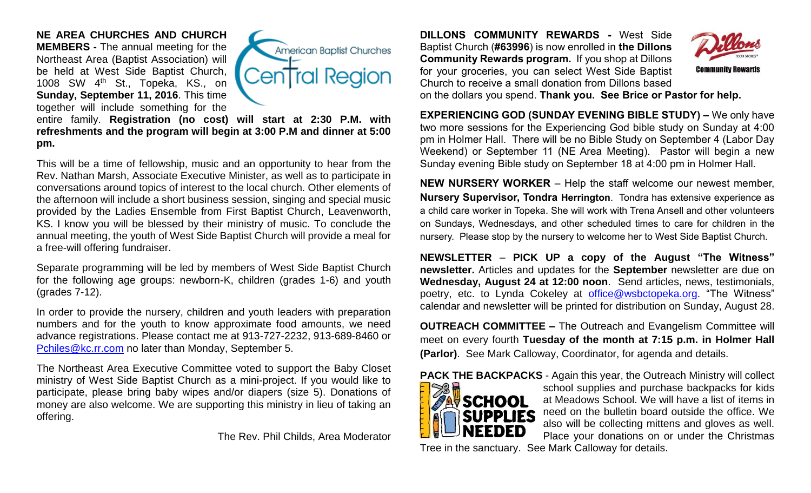**NE AREA CHURCHES AND CHURCH MEMBERS -** The annual meeting for the Northeast Area (Baptist Association) will be held at West Side Baptist Church, 1008 SW 4<sup>th</sup> St., Topeka, KS., on **Sunday, September 11, 2016**. This time together will include something for the



entire family. **Registration (no cost) will start at 2:30 P.M. with refreshments and the program will begin at 3:00 P.M and dinner at 5:00 pm.** 

This will be a time of fellowship, music and an opportunity to hear from the Rev. Nathan Marsh, Associate Executive Minister, as well as to participate in conversations around topics of interest to the local church. Other elements of the afternoon will include a short business session, singing and special music provided by the Ladies Ensemble from First Baptist Church, Leavenworth, KS. I know you will be blessed by their ministry of music. To conclude the annual meeting, the youth of West Side Baptist Church will provide a meal for a free-will offering fundraiser.

Separate programming will be led by members of West Side Baptist Church for the following age groups: newborn-K, children (grades 1-6) and youth (grades 7-12).

In order to provide the nursery, children and youth leaders with preparation numbers and for the youth to know approximate food amounts, we need advance registrations. Please contact me at 913-727-2232, 913-689-8460 or [Pchiles@kc.rr.com](mailto:Pchiles@kc.rr.com) no later than Monday, September 5.

The Northeast Area Executive Committee voted to support the Baby Closet ministry of West Side Baptist Church as a mini-project. If you would like to participate, please bring baby wipes and/or diapers (size 5). Donations of money are also welcome. We are supporting this ministry in lieu of taking an offering.

The Rev. Phil Childs, Area Moderator

**DILLONS COMMUNITY REWARDS -** West Side Baptist Church (**#63996**) is now enrolled in **the Dillons Community Rewards program.** If you shop at Dillons for your groceries, you can select West Side Baptist Church to receive a small donation from Dillons based



on the dollars you spend. **Thank you. See Brice or Pastor for help.**

**EXPERIENCING GOD (SUNDAY EVENING BIBLE STUDY) –** We only have two more sessions for the Experiencing God bible study on Sunday at 4:00 pm in Holmer Hall. There will be no Bible Study on September 4 (Labor Day Weekend) or September 11 (NE Area Meeting). Pastor will begin a new Sunday evening Bible study on September 18 at 4:00 pm in Holmer Hall.

**NEW NURSERY WORKER** – Help the staff welcome our newest member, **Nursery Supervisor, Tondra Herrington**. Tondra has extensive experience as a child care worker in Topeka. She will work with Trena Ansell and other volunteers on Sundays, Wednesdays, and other scheduled times to care for children in the nursery. Please stop by the nursery to welcome her to West Side Baptist Church.

**NEWSLETTER** – **PICK UP a copy of the August "The Witness" newsletter.** Articles and updates for the **September** newsletter are due on **Wednesday, August 24 at 12:00 noon**. Send articles, news, testimonials, poetry, etc. to Lynda Cokeley at [office@wsbctopeka.org.](mailto:office@wsbctopeka.org) "The Witness" calendar and newsletter will be printed for distribution on Sunday, August 28.

**OUTREACH COMMITTEE –** The Outreach and Evangelism Committee will meet on every fourth **Tuesday of the month at 7:15 p.m. in Holmer Hall (Parlor)**. See Mark Calloway, Coordinator, for agenda and details.



**PACK THE BACKPACKS** - Again this year, the Outreach Ministry will collect school supplies and purchase backpacks for kids at Meadows School. We will have a list of items in need on the bulletin board outside the office. We also will be collecting mittens and gloves as well. Place your donations on or under the Christmas

Tree in the sanctuary. See Mark Calloway for details.